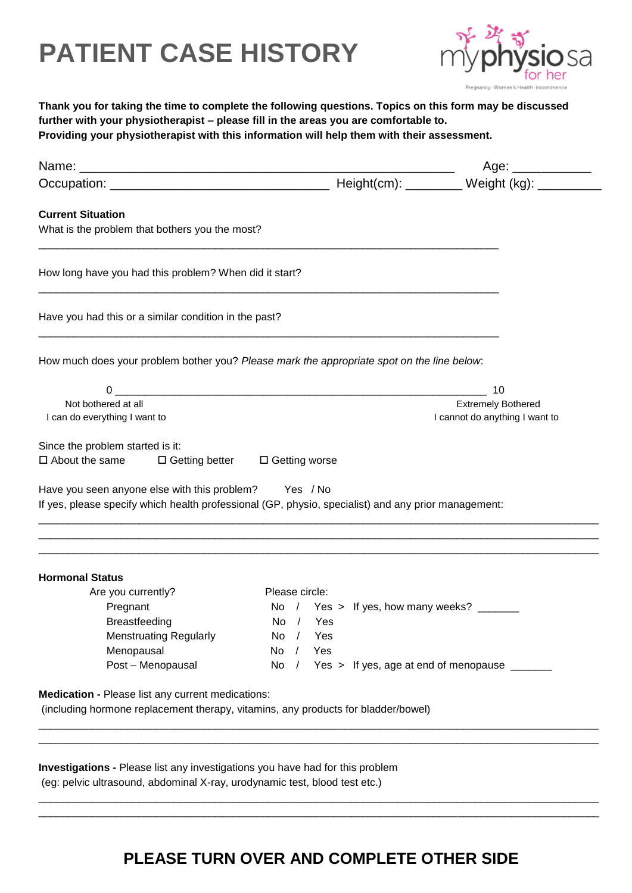## **PATIENT CASE HISTORY**



|                                                                                                     |                                                                                                                                                                                                                                                                                                                                                                     | Providing your physiotherapist with this information will help them with their assessment. |
|-----------------------------------------------------------------------------------------------------|---------------------------------------------------------------------------------------------------------------------------------------------------------------------------------------------------------------------------------------------------------------------------------------------------------------------------------------------------------------------|--------------------------------------------------------------------------------------------|
|                                                                                                     |                                                                                                                                                                                                                                                                                                                                                                     | Age: ____________                                                                          |
|                                                                                                     |                                                                                                                                                                                                                                                                                                                                                                     |                                                                                            |
| <b>Current Situation</b>                                                                            |                                                                                                                                                                                                                                                                                                                                                                     |                                                                                            |
| What is the problem that bothers you the most?                                                      |                                                                                                                                                                                                                                                                                                                                                                     |                                                                                            |
| How long have you had this problem? When did it start?                                              |                                                                                                                                                                                                                                                                                                                                                                     |                                                                                            |
| Have you had this or a similar condition in the past?                                               |                                                                                                                                                                                                                                                                                                                                                                     |                                                                                            |
| How much does your problem bother you? Please mark the appropriate spot on the line below:          |                                                                                                                                                                                                                                                                                                                                                                     |                                                                                            |
|                                                                                                     | $\begin{picture}(20,10) \put(0,0){\vector(1,0){100}} \put(15,0){\vector(1,0){100}} \put(15,0){\vector(1,0){100}} \put(15,0){\vector(1,0){100}} \put(15,0){\vector(1,0){100}} \put(15,0){\vector(1,0){100}} \put(15,0){\vector(1,0){100}} \put(15,0){\vector(1,0){100}} \put(15,0){\vector(1,0){100}} \put(15,0){\vector(1,0){100}} \put(15,0){\vector(1,0){100}} \$ | 10                                                                                         |
| Not bothered at all                                                                                 |                                                                                                                                                                                                                                                                                                                                                                     | <b>Extremely Bothered</b>                                                                  |
| I can do everything I want to                                                                       |                                                                                                                                                                                                                                                                                                                                                                     | I cannot do anything I want to                                                             |
|                                                                                                     |                                                                                                                                                                                                                                                                                                                                                                     |                                                                                            |
| Since the problem started is it:<br>$\square$ About the same                                        | □ Getting better □ Getting worse                                                                                                                                                                                                                                                                                                                                    |                                                                                            |
|                                                                                                     |                                                                                                                                                                                                                                                                                                                                                                     |                                                                                            |
| Have you seen anyone else with this problem? Yes / No                                               |                                                                                                                                                                                                                                                                                                                                                                     |                                                                                            |
| If yes, please specify which health professional (GP, physio, specialist) and any prior management: |                                                                                                                                                                                                                                                                                                                                                                     |                                                                                            |
|                                                                                                     |                                                                                                                                                                                                                                                                                                                                                                     |                                                                                            |
|                                                                                                     |                                                                                                                                                                                                                                                                                                                                                                     |                                                                                            |
|                                                                                                     |                                                                                                                                                                                                                                                                                                                                                                     |                                                                                            |
| <b>Hormonal Status</b>                                                                              |                                                                                                                                                                                                                                                                                                                                                                     |                                                                                            |
| Are you currently?                                                                                  | Please circle:                                                                                                                                                                                                                                                                                                                                                      |                                                                                            |
| Pregnant                                                                                            | Yes > If yes, how many weeks?<br>No<br>$\prime$                                                                                                                                                                                                                                                                                                                     |                                                                                            |
| <b>Breastfeeding</b>                                                                                | No<br>Yes<br>$\sqrt{ }$                                                                                                                                                                                                                                                                                                                                             |                                                                                            |
| <b>Menstruating Regularly</b>                                                                       | Yes<br>No                                                                                                                                                                                                                                                                                                                                                           |                                                                                            |
|                                                                                                     | No<br>Yes<br>$\sqrt{ }$                                                                                                                                                                                                                                                                                                                                             |                                                                                            |
| Menopausal                                                                                          | No $/$<br>Yes > If yes, age at end of menopause ______                                                                                                                                                                                                                                                                                                              |                                                                                            |
| Post - Menopausal                                                                                   |                                                                                                                                                                                                                                                                                                                                                                     |                                                                                            |
|                                                                                                     |                                                                                                                                                                                                                                                                                                                                                                     |                                                                                            |
| Medication - Please list any current medications:                                                   |                                                                                                                                                                                                                                                                                                                                                                     |                                                                                            |
| (including hormone replacement therapy, vitamins, any products for bladder/bowel)                   |                                                                                                                                                                                                                                                                                                                                                                     |                                                                                            |

### **PLEASE TURN OVER AND COMPLETE OTHER SIDE**

\_\_\_\_\_\_\_\_\_\_\_\_\_\_\_\_\_\_\_\_\_\_\_\_\_\_\_\_\_\_\_\_\_\_\_\_\_\_\_\_\_\_\_\_\_\_\_\_\_\_\_\_\_\_\_\_\_\_\_\_\_\_\_\_\_\_\_\_\_\_\_\_\_\_\_\_\_\_\_\_\_\_\_\_\_\_\_\_\_\_\_\_\_\_\_ \_\_\_\_\_\_\_\_\_\_\_\_\_\_\_\_\_\_\_\_\_\_\_\_\_\_\_\_\_\_\_\_\_\_\_\_\_\_\_\_\_\_\_\_\_\_\_\_\_\_\_\_\_\_\_\_\_\_\_\_\_\_\_\_\_\_\_\_\_\_\_\_\_\_\_\_\_\_\_\_\_\_\_\_\_\_\_\_\_\_\_\_\_\_\_